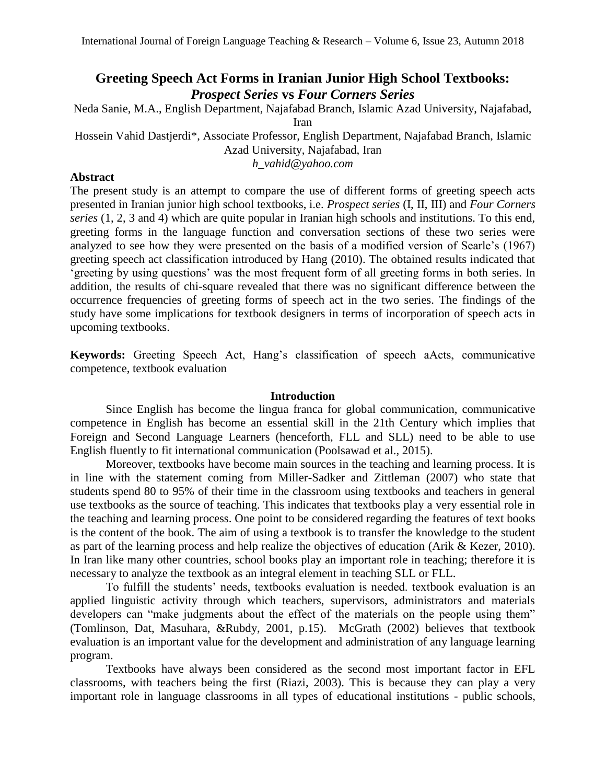# **Greeting Speech Act Forms in Iranian Junior High School Textbooks:**  *Prospect Series* **vs** *Four Corners Series*

Neda Sanie, M.A., English Department, Najafabad Branch, Islamic Azad University, Najafabad, Iran

Hossein Vahid Dastjerdi\*, Associate Professor, English Department, Najafabad Branch, Islamic Azad University, Najafabad, Iran

*h\_vahid@yahoo.com*

# **Abstract**

The present study is an attempt to compare the use of different forms of greeting speech acts presented in Iranian junior high school textbooks, i.e. *Prospect series* (I, II, III) and *Four Corners series* (1, 2, 3 and 4) which are quite popular in Iranian high schools and institutions. To this end, greeting forms in the language function and conversation sections of these two series were analyzed to see how they were presented on the basis of a modified version of Searle's (1967) greeting speech act classification introduced by Hang (2010). The obtained results indicated that 'greeting by using questions' was the most frequent form of all greeting forms in both series. In addition, the results of chi-square revealed that there was no significant difference between the occurrence frequencies of greeting forms of speech act in the two series. The findings of the study have some implications for textbook designers in terms of incorporation of speech acts in upcoming textbooks.

**Keywords:** Greeting Speech Act, Hang's classification of speech aActs, communicative competence, textbook evaluation

# **Introduction**

Since English has become the lingua franca for global communication, communicative competence in English has become an essential skill in the 21th Century which implies that Foreign and Second Language Learners (henceforth, FLL and SLL) need to be able to use English fluently to fit international communication (Poolsawad et al., 2015).

Moreover, textbooks have become main sources in the teaching and learning process. It is in line with the statement coming from Miller-Sadker and Zittleman (2007) who state that students spend 80 to 95% of their time in the classroom using textbooks and teachers in general use textbooks as the source of teaching. This indicates that textbooks play a very essential role in the teaching and learning process. One point to be considered regarding the features of text books is the content of the book. The aim of using a textbook is to transfer the knowledge to the student as part of the learning process and help realize the objectives of education (Arik & Kezer, 2010). In Iran like many other countries, school books play an important role in teaching; therefore it is necessary to analyze the textbook as an integral element in teaching SLL or FLL.

To fulfill the students' needs, textbooks evaluation is needed. textbook evaluation is an applied linguistic activity through which teachers, supervisors, administrators and materials developers can "make judgments about the effect of the materials on the people using them" (Tomlinson, Dat, Masuhara, &Rubdy, 2001, p.15). McGrath (2002) believes that textbook evaluation is an important value for the development and administration of any language learning program.

Textbooks have always been considered as the second most important factor in EFL classrooms, with teachers being the first (Riazi, 2003). This is because they can play a very important role in language classrooms in all types of educational institutions - public schools,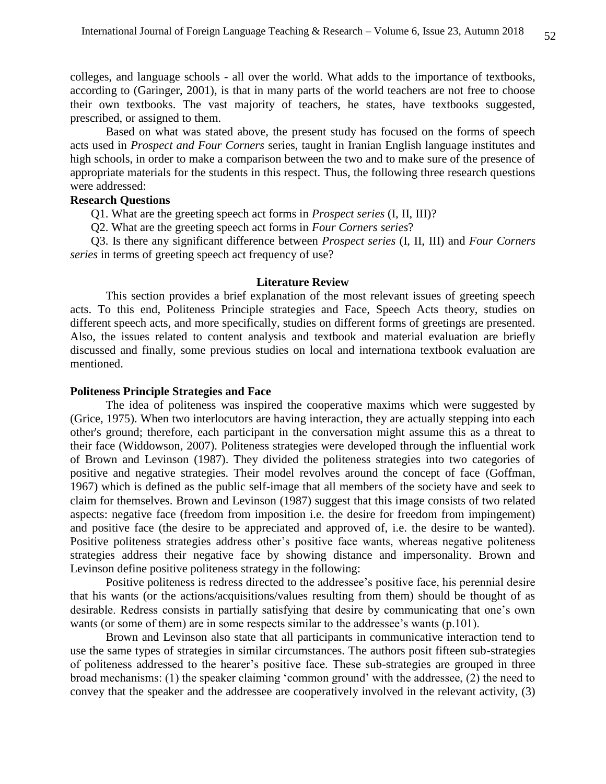colleges, and language schools - all over the world. What adds to the importance of textbooks, according to (Garinger, 2001), is that in many parts of the world teachers are not free to choose their own textbooks. The vast majority of teachers, he states, have textbooks suggested, prescribed, or assigned to them.

Based on what was stated above, the present study has focused on the forms of speech acts used in *Prospect and Four Corners* series, taught in Iranian English language institutes and high schools, in order to make a comparison between the two and to make sure of the presence of appropriate materials for the students in this respect. Thus, the following three research questions were addressed:

## **Research Questions**

Q1. What are the greeting speech act forms in *Prospect series* (I, II, III)?

Q2. What are the greeting speech act forms in *Four Corners series*?

 Q3. Is there any significant difference between *Prospect series* (I, II, III) and *Four Corners series* in terms of greeting speech act frequency of use?

#### **Literature Review**

This section provides a brief explanation of the most relevant issues of greeting speech acts. To this end, Politeness Principle strategies and Face, Speech Acts theory, studies on different speech acts, and more specifically, studies on different forms of greetings are presented. Also, the issues related to content analysis and textbook and material evaluation are briefly discussed and finally, some previous studies on local and internationa textbook evaluation are mentioned.

### **Politeness Principle Strategies and Face**

The idea of politeness was inspired the cooperative maxims which were suggested by (Grice, 1975). When two interlocutors are having interaction, they are actually stepping into each other's ground; therefore, each participant in the conversation might assume this as a threat to their face (Widdowson, 2007). Politeness strategies were developed through the influential work of Brown and Levinson (1987). They divided the politeness strategies into two categories of positive and negative strategies. Their model revolves around the concept of face (Goffman, 1967) which is defined as the public self-image that all members of the society have and seek to claim for themselves. Brown and Levinson (1987) suggest that this image consists of two related aspects: negative face (freedom from imposition i.e. the desire for freedom from impingement) and positive face (the desire to be appreciated and approved of, i.e. the desire to be wanted). Positive politeness strategies address other's positive face wants, whereas negative politeness strategies address their negative face by showing distance and impersonality. Brown and Levinson define positive politeness strategy in the following:

Positive politeness is redress directed to the addressee's positive face, his perennial desire that his wants (or the actions/acquisitions/values resulting from them) should be thought of as desirable. Redress consists in partially satisfying that desire by communicating that one's own wants (or some of them) are in some respects similar to the addressee's wants (p.101).

Brown and Levinson also state that all participants in communicative interaction tend to use the same types of strategies in similar circumstances. The authors posit fifteen sub-strategies of politeness addressed to the hearer's positive face. These sub-strategies are grouped in three broad mechanisms: (1) the speaker claiming 'common ground' with the addressee, (2) the need to convey that the speaker and the addressee are cooperatively involved in the relevant activity, (3)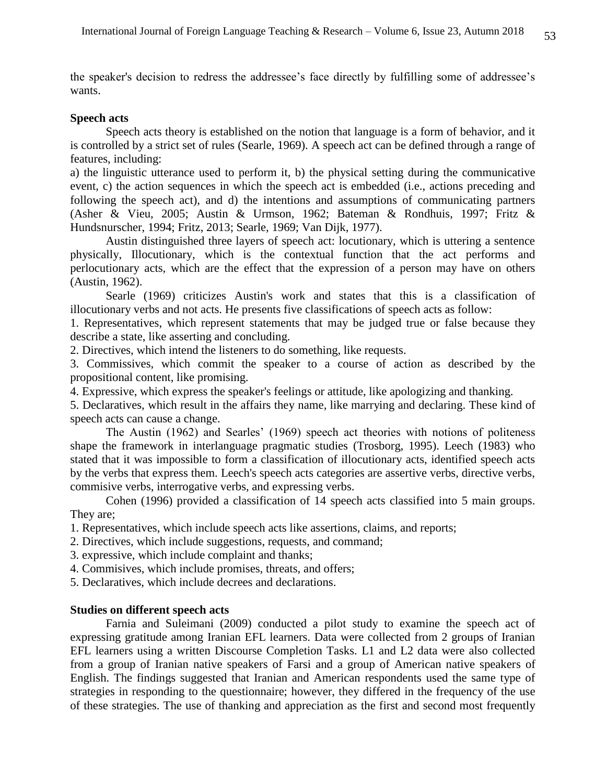the speaker's decision to redress the addressee's face directly by fulfilling some of addressee's wants.

### **Speech acts**

Speech acts theory is established on the notion that language is a form of behavior, and it is controlled by a strict set of rules (Searle, 1969). A speech act can be defined through a range of features, including:

a) the linguistic utterance used to perform it, b) the physical setting during the communicative event, c) the action sequences in which the speech act is embedded (i.e., actions preceding and following the speech act), and d) the intentions and assumptions of communicating partners (Asher & Vieu, 2005; Austin & Urmson, 1962; Bateman & Rondhuis, 1997; Fritz & Hundsnurscher, 1994; Fritz, 2013; Searle, 1969; Van Dijk, 1977).

Austin distinguished three layers of speech act: locutionary, which is uttering a sentence physically, Illocutionary, which is the contextual function that the act performs and perlocutionary acts, which are the effect that the expression of a person may have on others (Austin, 1962).

Searle (1969) criticizes Austin's work and states that this is a classification of illocutionary verbs and not acts. He presents five classifications of speech acts as follow:

1. Representatives, which represent statements that may be judged true or false because they describe a state, like asserting and concluding.

2. Directives, which intend the listeners to do something, like requests.

3. Commissives, which commit the speaker to a course of action as described by the propositional content, like promising.

4. Expressive, which express the speaker's feelings or attitude, like apologizing and thanking.

5. Declaratives, which result in the affairs they name, like marrying and declaring. These kind of speech acts can cause a change.

The Austin (1962) and Searles' (1969) speech act theories with notions of politeness shape the framework in interlanguage pragmatic studies (Trosborg, 1995). Leech (1983) who stated that it was impossible to form a classification of illocutionary acts, identified speech acts by the verbs that express them. Leech's speech acts categories are assertive verbs, directive verbs, commisive verbs, interrogative verbs, and expressing verbs.

Cohen (1996) provided a classification of 14 speech acts classified into 5 main groups. They are;

1. Representatives, which include speech acts like assertions, claims, and reports;

2. Directives, which include suggestions, requests, and command;

3. expressive, which include complaint and thanks;

4. Commisives, which include promises, threats, and offers;

5. Declaratives, which include decrees and declarations.

# **Studies on different speech acts**

Farnia and Suleimani (2009) conducted a pilot study to examine the speech act of expressing gratitude among Iranian EFL learners. Data were collected from 2 groups of Iranian EFL learners using a written Discourse Completion Tasks. L1 and L2 data were also collected from a group of Iranian native speakers of Farsi and a group of American native speakers of English. The findings suggested that Iranian and American respondents used the same type of strategies in responding to the questionnaire; however, they differed in the frequency of the use of these strategies. The use of thanking and appreciation as the first and second most frequently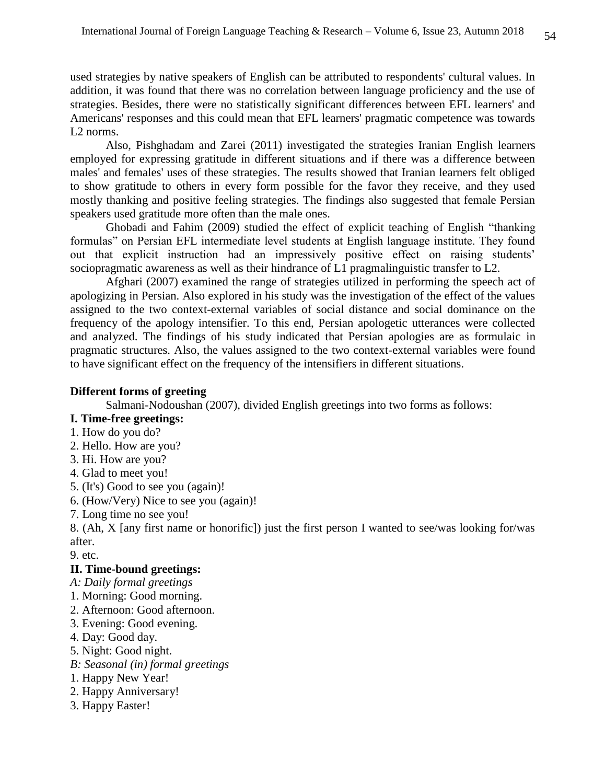used strategies by native speakers of English can be attributed to respondents' cultural values. In addition, it was found that there was no correlation between language proficiency and the use of strategies. Besides, there were no statistically significant differences between EFL learners' and Americans' responses and this could mean that EFL learners' pragmatic competence was towards L2 norms.

Also, Pishghadam and Zarei (2011) investigated the strategies Iranian English learners employed for expressing gratitude in different situations and if there was a difference between males' and females' uses of these strategies. The results showed that Iranian learners felt obliged to show gratitude to others in every form possible for the favor they receive, and they used mostly thanking and positive feeling strategies. The findings also suggested that female Persian speakers used gratitude more often than the male ones.

Ghobadi and Fahim (2009) studied the effect of explicit teaching of English "thanking formulas" on Persian EFL intermediate level students at English language institute. They found out that explicit instruction had an impressively positive effect on raising students' sociopragmatic awareness as well as their hindrance of L1 pragmalinguistic transfer to L2.

Afghari (2007) examined the range of strategies utilized in performing the speech act of apologizing in Persian. Also explored in his study was the investigation of the effect of the values assigned to the two context-external variables of social distance and social dominance on the frequency of the apology intensifier. To this end, Persian apologetic utterances were collected and analyzed. The findings of his study indicated that Persian apologies are as formulaic in pragmatic structures. Also, the values assigned to the two context-external variables were found to have significant effect on the frequency of the intensifiers in different situations.

# **Different forms of greeting**

Salmani-Nodoushan (2007), divided English greetings into two forms as follows:

# **I. Time-free greetings:**

- 1. How do you do?
- 2. Hello. How are you?
- 3. Hi. How are you?
- 4. Glad to meet you!
- 5. (It's) Good to see you (again)!
- 6. (How/Very) Nice to see you (again)!
- 7. Long time no see you!

8. (Ah, X [any first name or honorific]) just the first person I wanted to see/was looking for/was after.

9. etc.

### **II. Time-bound greetings:**

- *A: Daily formal greetings*
- 1. Morning: Good morning.
- 2. Afternoon: Good afternoon.
- 3. Evening: Good evening.
- 4. Day: Good day.
- 5. Night: Good night.
- *B: Seasonal (in) formal greetings*
- 1. Happy New Year!
- 2. Happy Anniversary!
- 3. Happy Easter!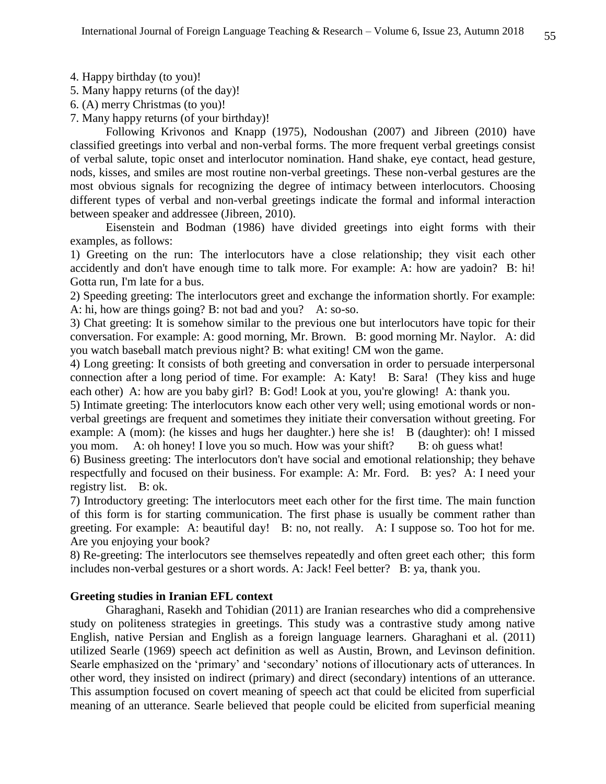- 4. Happy birthday (to you)!
- 5. Many happy returns (of the day)!
- 6. (A) merry Christmas (to you)!
- 7. Many happy returns (of your birthday)!

Following Krivonos and Knapp (1975), Nodoushan (2007) and Jibreen (2010) have classified greetings into verbal and non-verbal forms. The more frequent verbal greetings consist of verbal salute, topic onset and interlocutor nomination. Hand shake, eye contact, head gesture, nods, kisses, and smiles are most routine non-verbal greetings. These non-verbal gestures are the most obvious signals for recognizing the degree of intimacy between interlocutors. Choosing different types of verbal and non-verbal greetings indicate the formal and informal interaction between speaker and addressee (Jibreen, 2010).

Eisenstein and Bodman (1986) have divided greetings into eight forms with their examples, as follows:

1) Greeting on the run: The interlocutors have a close relationship; they visit each other accidently and don't have enough time to talk more. For example: A: how are yadoin? B: hi! Gotta run, I'm late for a bus.

2) Speeding greeting: The interlocutors greet and exchange the information shortly. For example: A: hi, how are things going? B: not bad and you? A: so-so.

3) Chat greeting: It is somehow similar to the previous one but interlocutors have topic for their conversation. For example: A: good morning, Mr. Brown. B: good morning Mr. Naylor. A: did you watch baseball match previous night? B: what exiting! CM won the game.

4) Long greeting: It consists of both greeting and conversation in order to persuade interpersonal connection after a long period of time. For example: A: Katy! B: Sara! (They kiss and huge each other) A: how are you baby girl? B: God! Look at you, you're glowing! A: thank you.

5) Intimate greeting: The interlocutors know each other very well; using emotional words or nonverbal greetings are frequent and sometimes they initiate their conversation without greeting. For example: A (mom): (he kisses and hugs her daughter.) here she is! B (daughter): oh! I missed you mom. A: oh honey! I love you so much. How was your shift? B: oh guess what!

6) Business greeting: The interlocutors don't have social and emotional relationship; they behave respectfully and focused on their business. For example: A: Mr. Ford. B: yes? A: I need your registry list. B: ok.

7) Introductory greeting: The interlocutors meet each other for the first time. The main function of this form is for starting communication. The first phase is usually be comment rather than greeting. For example: A: beautiful day! B: no, not really. A: I suppose so. Too hot for me. Are you enjoying your book?

8) Re-greeting: The interlocutors see themselves repeatedly and often greet each other; this form includes non-verbal gestures or a short words. A: Jack! Feel better? B: ya, thank you.

### **Greeting studies in Iranian EFL context**

Gharaghani, Rasekh and Tohidian (2011) are Iranian researches who did a comprehensive study on politeness strategies in greetings. This study was a contrastive study among native English, native Persian and English as a foreign language learners. Gharaghani et al. (2011) utilized Searle (1969) speech act definition as well as Austin, Brown, and Levinson definition. Searle emphasized on the 'primary' and 'secondary' notions of illocutionary acts of utterances. In other word, they insisted on indirect (primary) and direct (secondary) intentions of an utterance. This assumption focused on covert meaning of speech act that could be elicited from superficial meaning of an utterance. Searle believed that people could be elicited from superficial meaning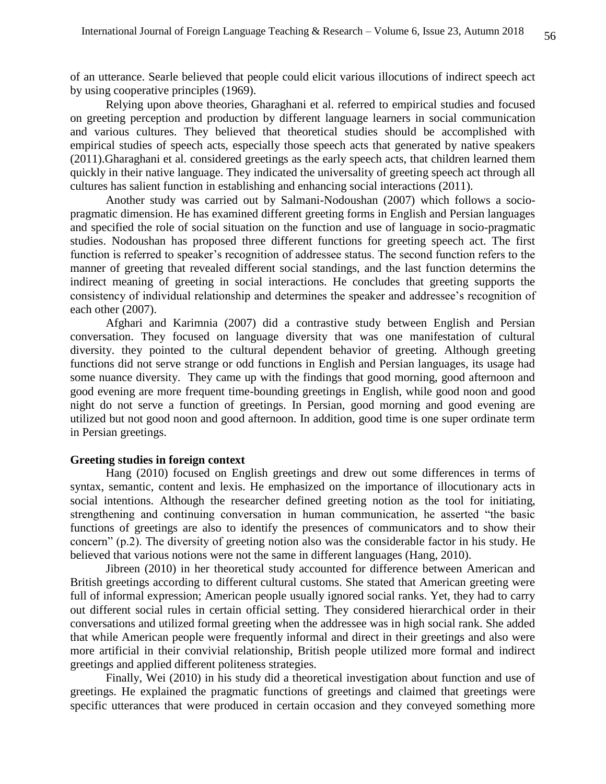of an utterance. Searle believed that people could elicit various illocutions of indirect speech act by using cooperative principles (1969).

Relying upon above theories, Gharaghani et al. referred to empirical studies and focused on greeting perception and production by different language learners in social communication and various cultures. They believed that theoretical studies should be accomplished with empirical studies of speech acts, especially those speech acts that generated by native speakers (2011).Gharaghani et al. considered greetings as the early speech acts, that children learned them quickly in their native language. They indicated the universality of greeting speech act through all cultures has salient function in establishing and enhancing social interactions (2011).

Another study was carried out by Salmani-Nodoushan (2007) which follows a sociopragmatic dimension. He has examined different greeting forms in English and Persian languages and specified the role of social situation on the function and use of language in socio-pragmatic studies. Nodoushan has proposed three different functions for greeting speech act. The first function is referred to speaker's recognition of addressee status. The second function refers to the manner of greeting that revealed different social standings, and the last function determins the indirect meaning of greeting in social interactions. He concludes that greeting supports the consistency of individual relationship and determines the speaker and addressee's recognition of each other (2007).

Afghari and Karimnia (2007) did a contrastive study between English and Persian conversation. They focused on language diversity that was one manifestation of cultural diversity. they pointed to the cultural dependent behavior of greeting. Although greeting functions did not serve strange or odd functions in English and Persian languages, its usage had some nuance diversity. They came up with the findings that good morning, good afternoon and good evening are more frequent time-bounding greetings in English, while good noon and good night do not serve a function of greetings. In Persian, good morning and good evening are utilized but not good noon and good afternoon. In addition, good time is one super ordinate term in Persian greetings.

### **Greeting studies in foreign context**

Hang (2010) focused on English greetings and drew out some differences in terms of syntax, semantic, content and lexis. He emphasized on the importance of illocutionary acts in social intentions. Although the researcher defined greeting notion as the tool for initiating, strengthening and continuing conversation in human communication, he asserted "the basic functions of greetings are also to identify the presences of communicators and to show their concern" (p.2). The diversity of greeting notion also was the considerable factor in his study. He believed that various notions were not the same in different languages (Hang, 2010).

Jibreen (2010) in her theoretical study accounted for difference between American and British greetings according to different cultural customs. She stated that American greeting were full of informal expression; American people usually ignored social ranks. Yet, they had to carry out different social rules in certain official setting. They considered hierarchical order in their conversations and utilized formal greeting when the addressee was in high social rank. She added that while American people were frequently informal and direct in their greetings and also were more artificial in their convivial relationship, British people utilized more formal and indirect greetings and applied different politeness strategies.

Finally, Wei (2010) in his study did a theoretical investigation about function and use of greetings. He explained the pragmatic functions of greetings and claimed that greetings were specific utterances that were produced in certain occasion and they conveyed something more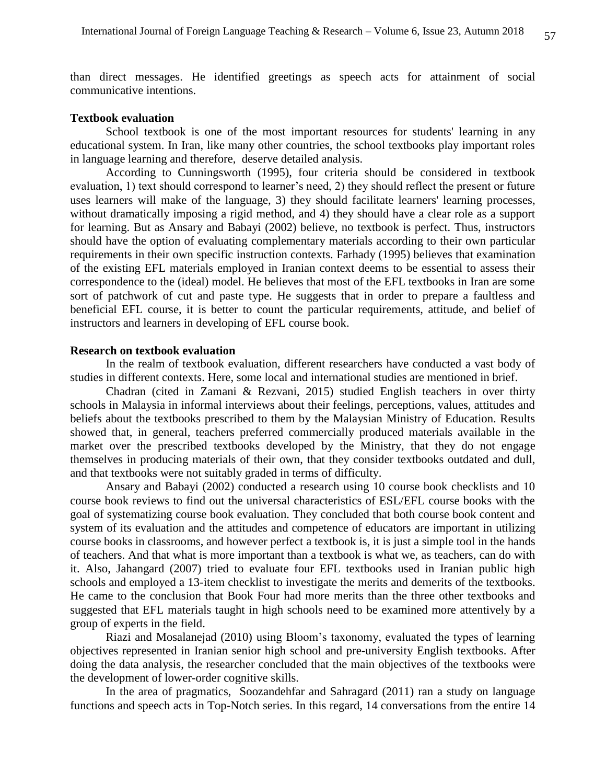than direct messages. He identified greetings as speech acts for attainment of social communicative intentions.

### **Textbook evaluation**

School textbook is one of the most important resources for students' learning in any educational system. In Iran, like many other countries, the school textbooks play important roles in language learning and therefore, deserve detailed analysis.

According to Cunningsworth (1995), four criteria should be considered in textbook evaluation, 1) text should correspond to learner's need, 2) they should reflect the present or future uses learners will make of the language, 3) they should facilitate learners' learning processes, without dramatically imposing a rigid method, and 4) they should have a clear role as a support for learning. But as Ansary and Babayi (2002) believe, no textbook is perfect. Thus, instructors should have the option of evaluating complementary materials according to their own particular requirements in their own specific instruction contexts. Farhady (1995) believes that examination of the existing EFL materials employed in Iranian context deems to be essential to assess their correspondence to the (ideal) model. He believes that most of the EFL textbooks in Iran are some sort of patchwork of cut and paste type. He suggests that in order to prepare a faultless and beneficial EFL course, it is better to count the particular requirements, attitude, and belief of instructors and learners in developing of EFL course book.

### **Research on textbook evaluation**

In the realm of textbook evaluation, different researchers have conducted a vast body of studies in different contexts. Here, some local and international studies are mentioned in brief.

Chadran (cited in Zamani & Rezvani, 2015) studied English teachers in over thirty schools in Malaysia in informal interviews about their feelings, perceptions, values, attitudes and beliefs about the textbooks prescribed to them by the Malaysian Ministry of Education. Results showed that, in general, teachers preferred commercially produced materials available in the market over the prescribed textbooks developed by the Ministry, that they do not engage themselves in producing materials of their own, that they consider textbooks outdated and dull, and that textbooks were not suitably graded in terms of difficulty.

Ansary and Babayi (2002) conducted a research using 10 course book checklists and 10 course book reviews to find out the universal characteristics of ESL/EFL course books with the goal of systematizing course book evaluation. They concluded that both course book content and system of its evaluation and the attitudes and competence of educators are important in utilizing course books in classrooms, and however perfect a textbook is, it is just a simple tool in the hands of teachers. And that what is more important than a textbook is what we, as teachers, can do with it. Also, Jahangard (2007) tried to evaluate four EFL textbooks used in Iranian public high schools and employed a 13-item checklist to investigate the merits and demerits of the textbooks. He came to the conclusion that Book Four had more merits than the three other textbooks and suggested that EFL materials taught in high schools need to be examined more attentively by a group of experts in the field.

Riazi and Mosalanejad (2010) using Bloom's taxonomy, evaluated the types of learning objectives represented in Iranian senior high school and pre-university English textbooks. After doing the data analysis, the researcher concluded that the main objectives of the textbooks were the development of lower-order cognitive skills.

In the area of pragmatics, Soozandehfar and Sahragard (2011) ran a study on language functions and speech acts in Top-Notch series. In this regard, 14 conversations from the entire 14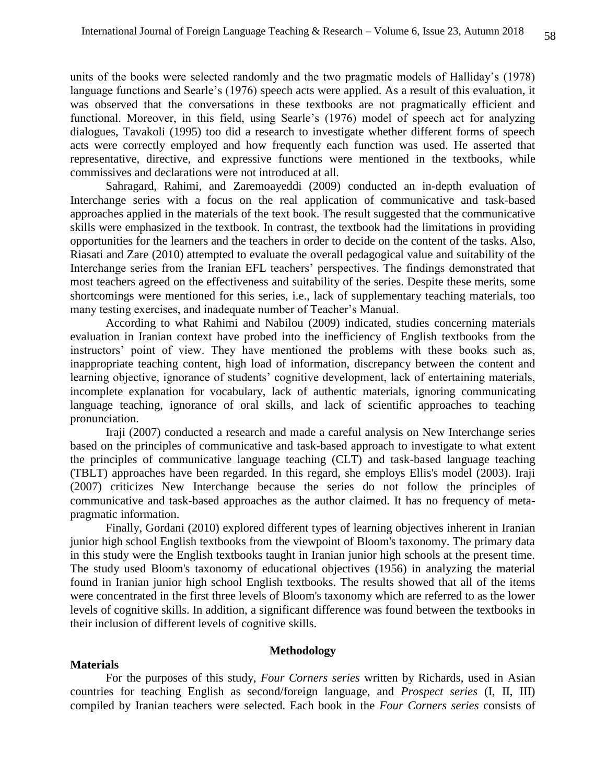units of the books were selected randomly and the two pragmatic models of Halliday's (1978) language functions and Searle's (1976) speech acts were applied. As a result of this evaluation, it was observed that the conversations in these textbooks are not pragmatically efficient and functional. Moreover, in this field, using Searle's (1976) model of speech act for analyzing dialogues, Tavakoli (1995) too did a research to investigate whether different forms of speech acts were correctly employed and how frequently each function was used. He asserted that representative, directive, and expressive functions were mentioned in the textbooks, while commissives and declarations were not introduced at all.

Sahragard, Rahimi, and Zaremoayeddi (2009) conducted an in-depth evaluation of Interchange series with a focus on the real application of communicative and task-based approaches applied in the materials of the text book. The result suggested that the communicative skills were emphasized in the textbook. In contrast, the textbook had the limitations in providing opportunities for the learners and the teachers in order to decide on the content of the tasks. Also, Riasati and Zare (2010) attempted to evaluate the overall pedagogical value and suitability of the Interchange series from the Iranian EFL teachers' perspectives. The findings demonstrated that most teachers agreed on the effectiveness and suitability of the series. Despite these merits, some shortcomings were mentioned for this series, i.e., lack of supplementary teaching materials, too many testing exercises, and inadequate number of Teacher's Manual.

According to what Rahimi and Nabilou (2009) indicated, studies concerning materials evaluation in Iranian context have probed into the inefficiency of English textbooks from the instructors' point of view. They have mentioned the problems with these books such as, inappropriate teaching content, high load of information, discrepancy between the content and learning objective, ignorance of students' cognitive development, lack of entertaining materials, incomplete explanation for vocabulary, lack of authentic materials, ignoring communicating language teaching, ignorance of oral skills, and lack of scientific approaches to teaching pronunciation.

Iraji (2007) conducted a research and made a careful analysis on New Interchange series based on the principles of communicative and task-based approach to investigate to what extent the principles of communicative language teaching (CLT) and task-based language teaching (TBLT) approaches have been regarded. In this regard, she employs Ellis's model (2003). Iraji (2007) criticizes New Interchange because the series do not follow the principles of communicative and task-based approaches as the author claimed. It has no frequency of metapragmatic information.

Finally, Gordani (2010) explored different types of learning objectives inherent in Iranian junior high school English textbooks from the viewpoint of Bloom's taxonomy. The primary data in this study were the English textbooks taught in Iranian junior high schools at the present time. The study used Bloom's taxonomy of educational objectives (1956) in analyzing the material found in Iranian junior high school English textbooks. The results showed that all of the items were concentrated in the first three levels of Bloom's taxonomy which are referred to as the lower levels of cognitive skills. In addition, a significant difference was found between the textbooks in their inclusion of different levels of cognitive skills.

# **Methodology**

### **Materials**

For the purposes of this study, *Four Corners series* written by Richards, used in Asian countries for teaching English as second/foreign language, and *Prospect series* (I, II, III) compiled by Iranian teachers were selected. Each book in the *Four Corners series* consists of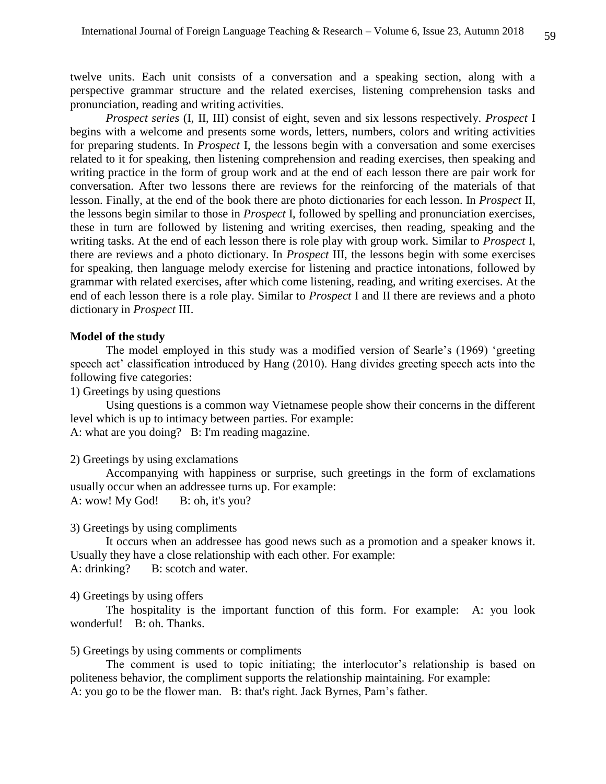twelve units. Each unit consists of a conversation and a speaking section, along with a perspective grammar structure and the related exercises, listening comprehension tasks and pronunciation, reading and writing activities.

*Prospect series* (I, II, III) consist of eight, seven and six lessons respectively. *Prospect* I begins with a welcome and presents some words, letters, numbers, colors and writing activities for preparing students. In *Prospect* I, the lessons begin with a conversation and some exercises related to it for speaking, then listening comprehension and reading exercises, then speaking and writing practice in the form of group work and at the end of each lesson there are pair work for conversation. After two lessons there are reviews for the reinforcing of the materials of that lesson. Finally, at the end of the book there are photo dictionaries for each lesson. In *Prospect* II, the lessons begin similar to those in *Prospect* I, followed by spelling and pronunciation exercises, these in turn are followed by listening and writing exercises, then reading, speaking and the writing tasks. At the end of each lesson there is role play with group work. Similar to *Prospect* I, there are reviews and a photo dictionary. In *Prospect* III, the lessons begin with some exercises for speaking, then language melody exercise for listening and practice intonations, followed by grammar with related exercises, after which come listening, reading, and writing exercises. At the end of each lesson there is a role play. Similar to *Prospect* I and II there are reviews and a photo dictionary in *Prospect* III.

### **Model of the study**

The model employed in this study was a modified version of Searle's (1969) 'greeting speech act' classification introduced by Hang (2010). Hang divides greeting speech acts into the following five categories:

1) Greetings by using questions

Using questions is a common way Vietnamese people show their concerns in the different level which is up to intimacy between parties. For example: A: what are you doing? B: I'm reading magazine.

#### 2) Greetings by using exclamations

Accompanying with happiness or surprise, such greetings in the form of exclamations usually occur when an addressee turns up. For example: A: wow! My God! B: oh, it's you?

### 3) Greetings by using compliments

It occurs when an addressee has good news such as a promotion and a speaker knows it. Usually they have a close relationship with each other. For example: A: drinking? B: scotch and water.

#### 4) Greetings by using offers

The hospitality is the important function of this form. For example: A: you look wonderful! B: oh. Thanks.

#### 5) Greetings by using comments or compliments

The comment is used to topic initiating; the interlocutor's relationship is based on politeness behavior, the compliment supports the relationship maintaining. For example: A: you go to be the flower man. B: that's right. Jack Byrnes, Pam's father.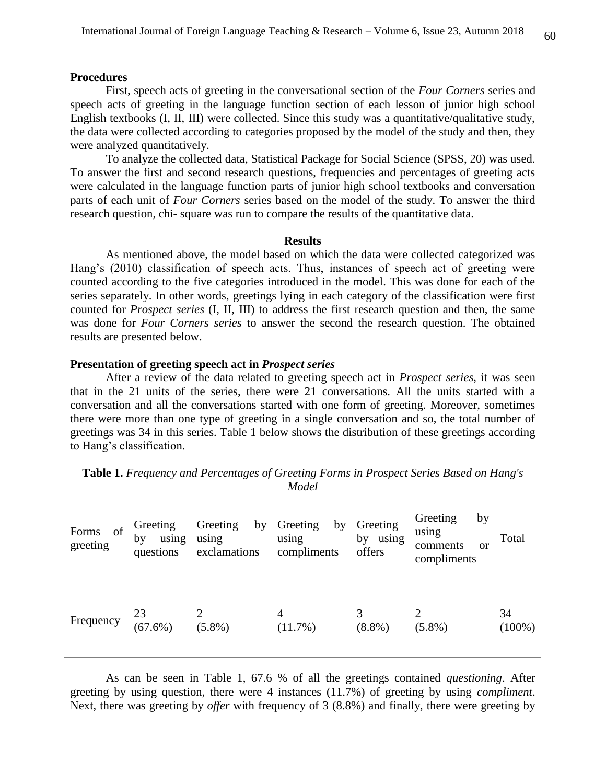#### **Procedures**

First, speech acts of greeting in the conversational section of the *Four Corners* series and speech acts of greeting in the language function section of each lesson of junior high school English textbooks (I, II, III) were collected. Since this study was a quantitative/qualitative study, the data were collected according to categories proposed by the model of the study and then, they were analyzed quantitatively.

To analyze the collected data, Statistical Package for Social Science (SPSS, 20) was used. To answer the first and second research questions, frequencies and percentages of greeting acts were calculated in the language function parts of junior high school textbooks and conversation parts of each unit of *Four Corners* series based on the model of the study. To answer the third research question, chi- square was run to compare the results of the quantitative data.

#### **Results**

As mentioned above, the model based on which the data were collected categorized was Hang's (2010) classification of speech acts. Thus, instances of speech act of greeting were counted according to the five categories introduced in the model. This was done for each of the series separately. In other words, greetings lying in each category of the classification were first counted for *Prospect series* (I, II, III) to address the first research question and then, the same was done for *Four Corners series* to answer the second the research question. The obtained results are presented below.

# **Presentation of greeting speech act in** *Prospect series*

After a review of the data related to greeting speech act in *Prospect series,* it was seen that in the 21 units of the series, there were 21 conversations. All the units started with a conversation and all the conversations started with one form of greeting. Moreover, sometimes there were more than one type of greeting in a single conversation and so, the total number of greetings was 34 in this series. Table 1 below shows the distribution of these greetings according to Hang's classification.

| of<br>Forms<br>greeting | Greeting<br>by<br>using<br>questions | Greeting<br>by<br>using<br>exclamations | Greeting<br>by<br>using<br>compliments | Greeting<br>by using<br>offers | Greeting<br>by<br>using<br>comments<br><sub>or</sub><br>compliments | Total           |
|-------------------------|--------------------------------------|-----------------------------------------|----------------------------------------|--------------------------------|---------------------------------------------------------------------|-----------------|
| Frequency               | 23<br>$(67.6\%)$                     | $(5.8\%)$                               | 4<br>(11.7%)                           | 3<br>$(8.8\%)$                 | $(5.8\%)$                                                           | 34<br>$(100\%)$ |

**Table 1.** *Frequency and Percentages of Greeting Forms in Prospect Series Based on Hang's Model*

As can be seen in Table 1, 67.6 % of all the greetings contained *questioning*. After greeting by using question, there were 4 instances (11.7%) of greeting by using *compliment*. Next, there was greeting by *offer* with frequency of 3 (8.8%) and finally, there were greeting by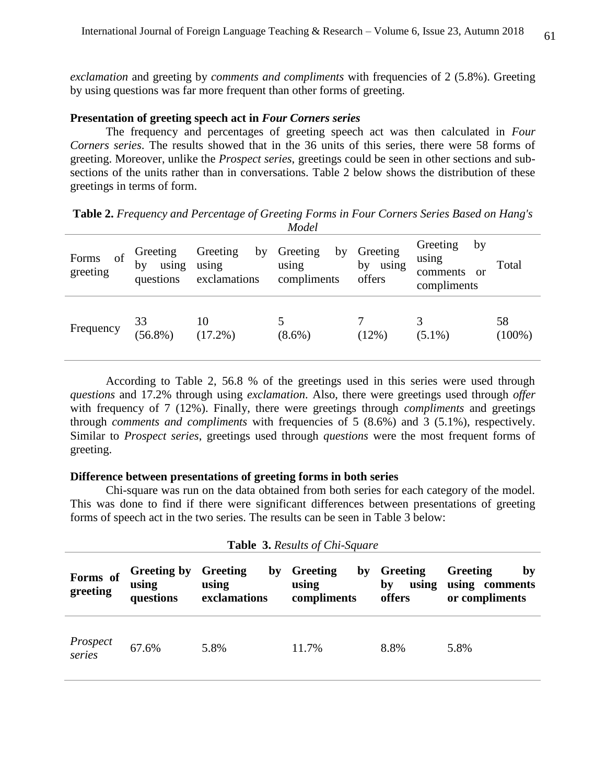*exclamation* and greeting by *comments and compliments* with frequencies of 2 (5.8%). Greeting by using questions was far more frequent than other forms of greeting.

### **Presentation of greeting speech act in** *Four Corners series*

The frequency and percentages of greeting speech act was then calculated in *Four Corners series*. The results showed that in the 36 units of this series, there were 58 forms of greeting. Moreover, unlike the *Prospect series*, greetings could be seen in other sections and subsections of the units rather than in conversations. Table 2 below shows the distribution of these greetings in terms of form.

**Table 2.** *Frequency and Percentage of Greeting Forms in Four Corners Series Based on Hang's Model*

| of<br>Forms<br>greeting | Greeting<br>by<br>using<br>questions | Greeting<br>by<br>using<br>exclamations | Greeting<br>by<br>using<br>compliments | Greeting<br>by<br>using<br>offers | Greeting<br>by<br>using<br>comments<br>or<br>compliments | Total           |
|-------------------------|--------------------------------------|-----------------------------------------|----------------------------------------|-----------------------------------|----------------------------------------------------------|-----------------|
| Frequency               | 33<br>$(56.8\%)$                     | 10<br>$(17.2\%)$                        | $(8.6\%)$                              | (12%)                             | $(5.1\%)$                                                | 58<br>$(100\%)$ |

According to Table 2, 56.8 % of the greetings used in this series were used through *questions* and 17.2% through using *exclamation*. Also, there were greetings used through *offer*  with frequency of 7 (12%). Finally, there were greetings through *compliments* and greetings through *comments and compliments* with frequencies of 5 (8.6%) and 3 (5.1%), respectively. Similar to *Prospect series*, greetings used through *questions* were the most frequent forms of greeting.

### **Difference between presentations of greeting forms in both series**

Chi-square was run on the data obtained from both series for each category of the model. This was done to find if there were significant differences between presentations of greeting forms of speech act in the two series. The results can be seen in Table 3 below:

| <b>Table 3. Results of Chi-Square</b> |                                          |                                         |                                        |                                   |                                                    |
|---------------------------------------|------------------------------------------|-----------------------------------------|----------------------------------------|-----------------------------------|----------------------------------------------------|
| Forms of<br>greeting                  | <b>Greeting by</b><br>using<br>questions | Greeting<br>by<br>using<br>exclamations | Greeting<br>by<br>using<br>compliments | Greeting<br>using<br>by<br>offers | Greeting<br>by<br>using comments<br>or compliments |
| Prospect<br>series                    | 67.6%                                    | 5.8%                                    | 11.7%                                  | 8.8%                              | 5.8%                                               |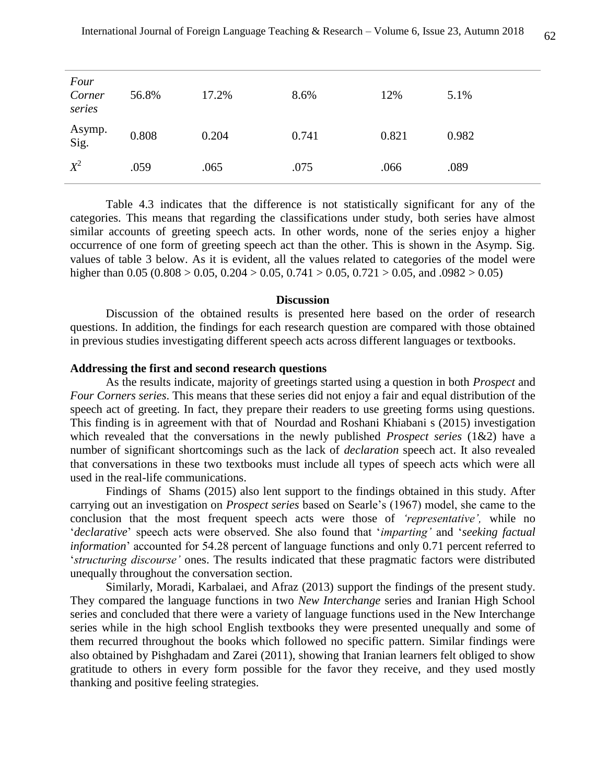| Four<br>Corner<br>series | 56.8% | 17.2% | 8.6%  | 12%   | 5.1%  |
|--------------------------|-------|-------|-------|-------|-------|
| Asymp.<br>Sig.           | 0.808 | 0.204 | 0.741 | 0.821 | 0.982 |
| $X^2$                    | .059  | .065  | .075  | .066  | .089  |

Table 4.3 indicates that the difference is not statistically significant for any of the categories. This means that regarding the classifications under study, both series have almost similar accounts of greeting speech acts. In other words, none of the series enjoy a higher occurrence of one form of greeting speech act than the other. This is shown in the Asymp. Sig. values of table 3 below. As it is evident, all the values related to categories of the model were higher than  $0.05 (0.808 > 0.05, 0.204 > 0.05, 0.741 > 0.05, 0.721 > 0.05,$  and  $.0982 > 0.05$ )

#### **Discussion**

Discussion of the obtained results is presented here based on the order of research questions. In addition, the findings for each research question are compared with those obtained in previous studies investigating different speech acts across different languages or textbooks.

#### **Addressing the first and second research questions**

As the results indicate, majority of greetings started using a question in both *Prospect* and *Four Corners series*. This means that these series did not enjoy a fair and equal distribution of the speech act of greeting. In fact, they prepare their readers to use greeting forms using questions. This finding is in agreement with that of Nourdad and Roshani Khiabani s (2015) investigation which revealed that the conversations in the newly published *Prospect series* (1&2) have a number of significant shortcomings such as the lack of *declaration* speech act. It also revealed that conversations in these two textbooks must include all types of speech acts which were all used in the real-life communications.

Findings of Shams (2015) also lent support to the findings obtained in this study. After carrying out an investigation on *Prospect series* based on Searle's (1967) model, she came to the conclusion that the most frequent speech acts were those of *'representative',* while no '*declarative*' speech acts were observed. She also found that '*imparting'* and '*seeking factual information*' accounted for 54.28 percent of language functions and only 0.71 percent referred to '*structuring discourse'* ones. The results indicated that these pragmatic factors were distributed unequally throughout the conversation section.

Similarly, Moradi, Karbalaei, and Afraz (2013) support the findings of the present study. They compared the language functions in two *New Interchange* series and Iranian High School series and concluded that there were a variety of language functions used in the New Interchange series while in the high school English textbooks they were presented unequally and some of them recurred throughout the books which followed no specific pattern. Similar findings were also obtained by Pishghadam and Zarei (2011), showing that Iranian learners felt obliged to show gratitude to others in every form possible for the favor they receive, and they used mostly thanking and positive feeling strategies.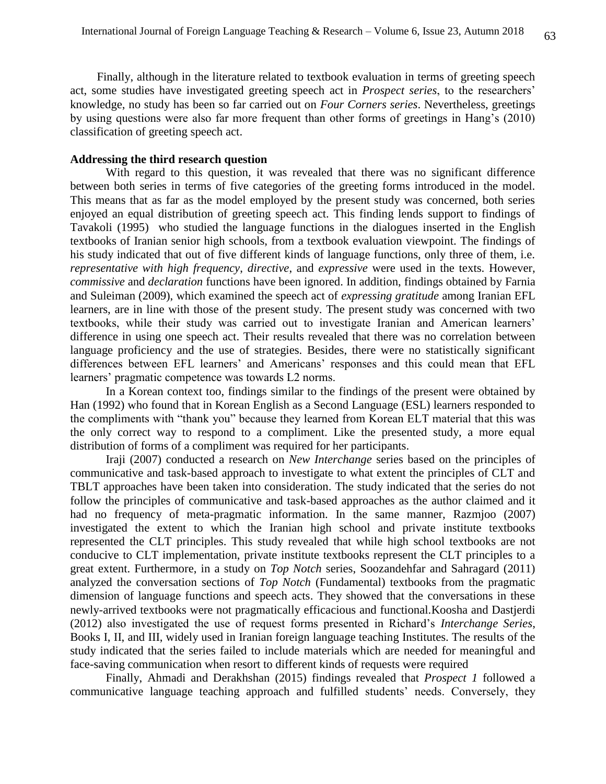Finally, although in the literature related to textbook evaluation in terms of greeting speech act, some studies have investigated greeting speech act in *Prospect series*, to the researchers' knowledge, no study has been so far carried out on *Four Corners series*. Nevertheless, greetings by using questions were also far more frequent than other forms of greetings in Hang's (2010) classification of greeting speech act.

### **Addressing the third research question**

With regard to this question, it was revealed that there was no significant difference between both series in terms of five categories of the greeting forms introduced in the model. This means that as far as the model employed by the present study was concerned, both series enjoyed an equal distribution of greeting speech act. This finding lends support to findings of Tavakoli (1995) who studied the language functions in the dialogues inserted in the English textbooks of Iranian senior high schools, from a textbook evaluation viewpoint. The findings of his study indicated that out of five different kinds of language functions, only three of them, i.e. *representative with high frequency*, *directive*, and *expressive* were used in the texts. However, *commissive* and *declaration* functions have been ignored. In addition, findings obtained by Farnia and Suleiman (2009), which examined the speech act of *expressing gratitude* among Iranian EFL learners, are in line with those of the present study. The present study was concerned with two textbooks, while their study was carried out to investigate Iranian and American learners' difference in using one speech act. Their results revealed that there was no correlation between language proficiency and the use of strategies. Besides, there were no statistically significant differences between EFL learners' and Americans' responses and this could mean that EFL learners' pragmatic competence was towards L2 norms.

In a Korean context too, findings similar to the findings of the present were obtained by Han (1992) who found that in Korean English as a Second Language (ESL) learners responded to the compliments with "thank you" because they learned from Korean ELT material that this was the only correct way to respond to a compliment. Like the presented study, a more equal distribution of forms of a compliment was required for her participants.

Iraji (2007) conducted a research on *New Interchange* series based on the principles of communicative and task-based approach to investigate to what extent the principles of CLT and TBLT approaches have been taken into consideration. The study indicated that the series do not follow the principles of communicative and task-based approaches as the author claimed and it had no frequency of meta-pragmatic information. In the same manner, Razmjoo (2007) investigated the extent to which the Iranian high school and private institute textbooks represented the CLT principles. This study revealed that while high school textbooks are not conducive to CLT implementation, private institute textbooks represent the CLT principles to a great extent. Furthermore, in a study on *Top Notch* series, Soozandehfar and Sahragard (2011) analyzed the conversation sections of *Top Notch* (Fundamental) textbooks from the pragmatic dimension of language functions and speech acts. They showed that the conversations in these newly-arrived textbooks were not pragmatically efficacious and functional.Koosha and Dastjerdi (2012) also investigated the use of request forms presented in Richard's *Interchange Series*, Books I, II, and III, widely used in Iranian foreign language teaching Institutes. The results of the study indicated that the series failed to include materials which are needed for meaningful and face-saving communication when resort to different kinds of requests were required

Finally, Ahmadi and Derakhshan (2015) findings revealed that *Prospect 1* followed a communicative language teaching approach and fulfilled students' needs. Conversely, they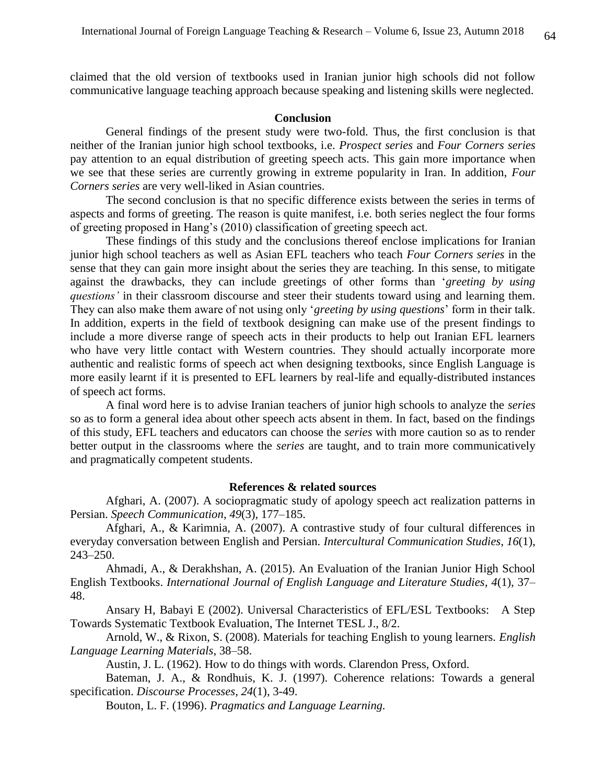claimed that the old version of textbooks used in Iranian junior high schools did not follow communicative language teaching approach because speaking and listening skills were neglected.

#### **Conclusion**

General findings of the present study were two-fold. Thus, the first conclusion is that neither of the Iranian junior high school textbooks, i.e. *Prospect series* and *Four Corners series* pay attention to an equal distribution of greeting speech acts. This gain more importance when we see that these series are currently growing in extreme popularity in Iran. In addition, *Four Corners series* are very well-liked in Asian countries.

The second conclusion is that no specific difference exists between the series in terms of aspects and forms of greeting. The reason is quite manifest, i.e. both series neglect the four forms of greeting proposed in Hang's (2010) classification of greeting speech act.

These findings of this study and the conclusions thereof enclose implications for Iranian junior high school teachers as well as Asian EFL teachers who teach *Four Corners series* in the sense that they can gain more insight about the series they are teaching. In this sense, to mitigate against the drawbacks, they can include greetings of other forms than '*greeting by using questions'* in their classroom discourse and steer their students toward using and learning them. They can also make them aware of not using only '*greeting by using questions*' form in their talk. In addition, experts in the field of textbook designing can make use of the present findings to include a more diverse range of speech acts in their products to help out Iranian EFL learners who have very little contact with Western countries. They should actually incorporate more authentic and realistic forms of speech act when designing textbooks, since English Language is more easily learnt if it is presented to EFL learners by real-life and equally-distributed instances of speech act forms.

A final word here is to advise Iranian teachers of junior high schools to analyze the *series* so as to form a general idea about other speech acts absent in them. In fact, based on the findings of this study, EFL teachers and educators can choose the *series* with more caution so as to render better output in the classrooms where the *series* are taught, and to train more communicatively and pragmatically competent students.

### **References & related sources**

Afghari, A. (2007). A sociopragmatic study of apology speech act realization patterns in Persian. *Speech Communication*, *49*(3), 177–185.

Afghari, A., & Karimnia, A. (2007). A contrastive study of four cultural differences in everyday conversation between English and Persian. *Intercultural Communication Studies*, *16*(1), 243–250.

Ahmadi, A., & Derakhshan, A. (2015). An Evaluation of the Iranian Junior High School English Textbooks. *International Journal of English Language and Literature Studies*, *4*(1), 37– 48.

Ansary H, Babayi E (2002). Universal Characteristics of EFL/ESL Textbooks: A Step Towards Systematic Textbook Evaluation, The Internet TESL J., 8/2.

Arnold, W., & Rixon, S. (2008). Materials for teaching English to young learners. *English Language Learning Materials*, 38–58.

Austin, J. L. (1962). How to do things with words. Clarendon Press, Oxford.

Bateman, J. A., & Rondhuis, K. J. (1997). Coherence relations: Towards a general specification. *Discourse Processes, 24*(1), 3-49.

Bouton, L. F. (1996). *Pragmatics and Language Learning.*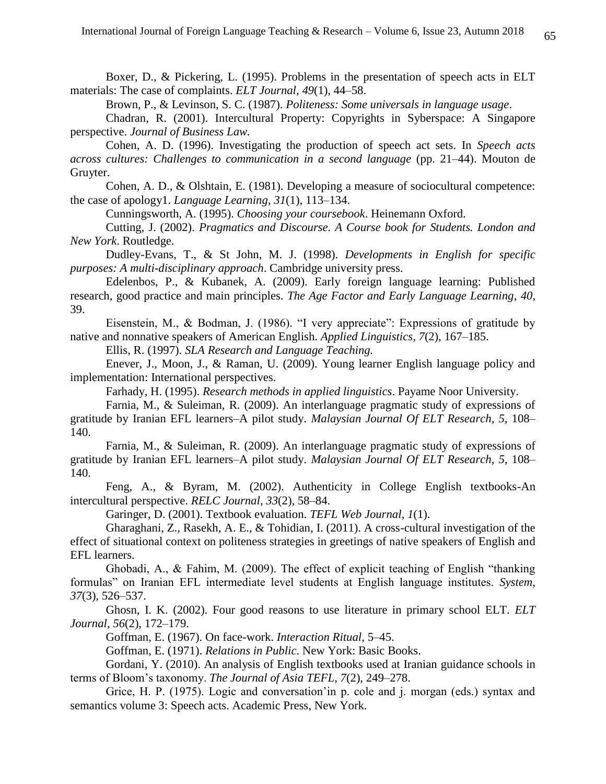Boxer, D., & Pickering, L. (1995). Problems in the presentation of speech acts in ELT materials: The case of complaints. *ELT Journal*, *49*(1), 44–58.

Brown, P., & Levinson, S. C. (1987). *Politeness: Some universals in language usage*.

Chadran, R. (2001). Intercultural Property: Copyrights in Syberspace: A Singapore perspective. *Journal of Business Law.*

Cohen, A. D. (1996). Investigating the production of speech act sets. In *Speech acts across cultures: Challenges to communication in a second language* (pp. 21–44). Mouton de Gruyter.

Cohen, A. D., & Olshtain, E. (1981). Developing a measure of sociocultural competence: the case of apology1. *Language Learning*, *31*(1), 113–134.

Cunningsworth, A. (1995). *Choosing your coursebook*. Heinemann Oxford.

Cutting, J. (2002). *Pragmatics and Discourse. A Course book for Students. London and New York*. Routledge.

Dudley-Evans, T., & St John, M. J. (1998). *Developments in English for specific purposes: A multi-disciplinary approach*. Cambridge university press.

Edelenbos, P., & Kubanek, A. (2009). Early foreign language learning: Published research, good practice and main principles. *The Age Factor and Early Language Learning*, *40*, 39.

Eisenstein, M., & Bodman, J. (1986). "I very appreciate": Expressions of gratitude by native and nonnative speakers of American English. *Applied Linguistics*, *7*(2), 167–185.

Ellis, R. (1997). *SLA Research and Language Teaching.*

Enever, J., Moon, J., & Raman, U. (2009). Young learner English language policy and implementation: International perspectives.

Farhady, H. (1995). *Research methods in applied linguistics*. Payame Noor University.

Farnia, M., & Suleiman, R. (2009). An interlanguage pragmatic study of expressions of gratitude by Iranian EFL learners–A pilot study. *Malaysian Journal Of ELT Research*, *5*, 108– 140.

Farnia, M., & Suleiman, R. (2009). An interlanguage pragmatic study of expressions of gratitude by Iranian EFL learners–A pilot study. *Malaysian Journal Of ELT Research*, *5*, 108– 140.

Feng, A., & Byram, M. (2002). Authenticity in College English textbooks-An intercultural perspective. *RELC Journal*, *33*(2), 58–84.

Garinger, D. (2001). Textbook evaluation. *TEFL Web Journal*, *1*(1).

Gharaghani, Z., Rasekh, A. E., & Tohidian, I. (2011). A cross-cultural investigation of the effect of situational context on politeness strategies in greetings of native speakers of English and EFL learners.

Ghobadi, A., & Fahim, M. (2009). The effect of explicit teaching of English "thanking formulas" on Iranian EFL intermediate level students at English language institutes. *System*, *37*(3), 526–537.

Ghosn, I. K. (2002). Four good reasons to use literature in primary school ELT. *ELT Journal*, *56*(2), 172–179.

Goffman, E. (1967). On face-work. *Interaction Ritual*, 5–45.

Goffman, E. (1971). *Relations in Public*. New York: Basic Books.

Gordani, Y. (2010). An analysis of English textbooks used at Iranian guidance schools in terms of Bloom's taxonomy. *The Journal of Asia TEFL*, *7*(2), 249–278.

Grice, H. P. (1975). Logic and conversation'in p. cole and j. morgan (eds.) syntax and semantics volume 3: Speech acts. Academic Press, New York.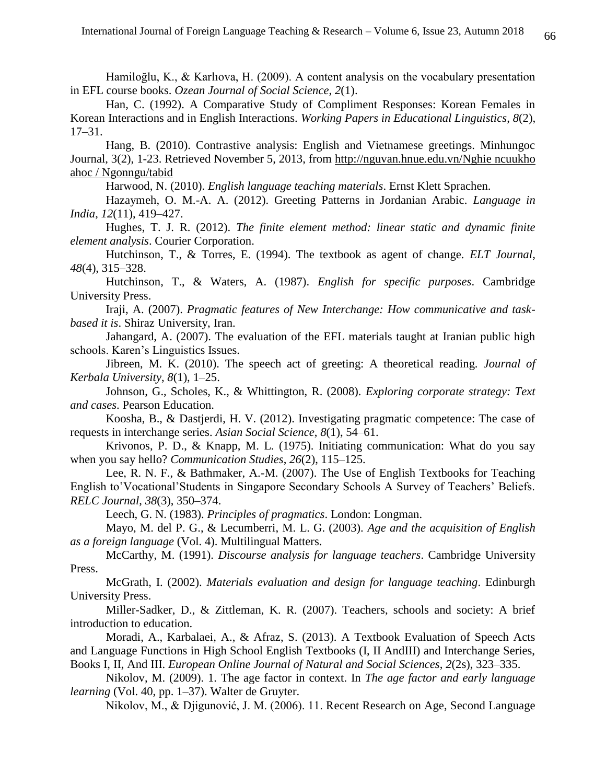Hamiloğlu, K., & Karlıova, H. (2009). A content analysis on the vocabulary presentation in EFL course books. *Ozean Journal of Social Science*, *2*(1).

Han, C. (1992). A Comparative Study of Compliment Responses: Korean Females in Korean Interactions and in English Interactions. *Working Papers in Educational Linguistics*, *8*(2), 17–31.

Hang, B. (2010). Contrastive analysis: English and Vietnamese greetings. Minhungoc Journal, 3(2), 1-23. Retrieved November 5, 2013, from [http://nguvan.hn](http://nguvan.h/)ue.edu.vn/Nghie ncuukho ahoc / Ngonngu/tabid

Harwood, N. (2010). *English language teaching materials*. Ernst Klett Sprachen.

Hazaymeh, O. M.-A. A. (2012). Greeting Patterns in Jordanian Arabic. *Language in India*, *12*(11), 419–427.

Hughes, T. J. R. (2012). *The finite element method: linear static and dynamic finite element analysis*. Courier Corporation.

Hutchinson, T., & Torres, E. (1994). The textbook as agent of change. *ELT Journal*, *48*(4), 315–328.

Hutchinson, T., & Waters, A. (1987). *English for specific purposes*. Cambridge University Press.

Iraji, A. (2007). *Pragmatic features of New Interchange: How communicative and taskbased it is*. Shiraz University, Iran.

Jahangard, A. (2007). The evaluation of the EFL materials taught at Iranian public high schools. Karen's Linguistics Issues.

Jibreen, M. K. (2010). The speech act of greeting: A theoretical reading. *Journal of Kerbala University*, *8*(1), 1–25.

Johnson, G., Scholes, K., & Whittington, R. (2008). *Exploring corporate strategy: Text and cases*. Pearson Education.

Koosha, B., & Dastjerdi, H. V. (2012). Investigating pragmatic competence: The case of requests in interchange series. *Asian Social Science*, *8*(1), 54–61.

Krivonos, P. D., & Knapp, M. L. (1975). Initiating communication: What do you say when you say hello? *Communication Studies*, *26*(2), 115–125.

Lee, R. N. F., & Bathmaker, A.-M. (2007). The Use of English Textbooks for Teaching English to'Vocational'Students in Singapore Secondary Schools A Survey of Teachers' Beliefs. *RELC Journal*, *38*(3), 350–374.

Leech, G. N. (1983). *Principles of pragmatics*. London: Longman.

Mayo, M. del P. G., & Lecumberri, M. L. G. (2003). *Age and the acquisition of English as a foreign language* (Vol. 4). Multilingual Matters.

McCarthy, M. (1991). *Discourse analysis for language teachers*. Cambridge University Press.

McGrath, I. (2002). *Materials evaluation and design for language teaching*. Edinburgh University Press.

Miller-Sadker, D., & Zittleman, K. R. (2007). Teachers, schools and society: A brief introduction to education.

Moradi, A., Karbalaei, A., & Afraz, S. (2013). A Textbook Evaluation of Speech Acts and Language Functions in High School English Textbooks (I, II AndIII) and Interchange Series, Books I, II, And III. *European Online Journal of Natural and Social Sciences*, *2*(2s), 323–335.

Nikolov, M. (2009). 1. The age factor in context. In *The age factor and early language learning* (Vol. 40, pp. 1–37). Walter de Gruyter.

Nikolov, M., & Djigunović, J. M. (2006). 11. Recent Research on Age, Second Language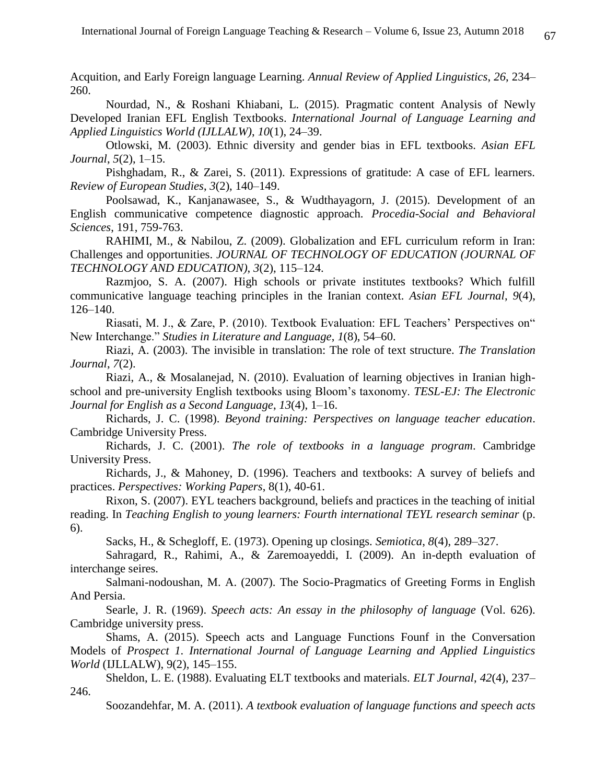Acquition, and Early Foreign language Learning. *Annual Review of Applied Linguistics*, *26*, 234– 260.

Nourdad, N., & Roshani Khiabani, L. (2015). Pragmatic content Analysis of Newly Developed Iranian EFL English Textbooks. *International Journal of Language Learning and Applied Linguistics World (IJLLALW)*, *10*(1), 24–39.

Otlowski, M. (2003). Ethnic diversity and gender bias in EFL textbooks. *Asian EFL Journal*, *5*(2), 1–15.

Pishghadam, R., & Zarei, S. (2011). Expressions of gratitude: A case of EFL learners. *Review of European Studies*, *3*(2), 140–149.

Poolsawad, K., Kanjanawasee, S., & Wudthayagorn, J. (2015). Development of an English communicative competence diagnostic approach. *Procedia-Social and Behavioral Sciences*, 191, 759-763.

RAHIMI, M., & Nabilou, Z. (2009). Globalization and EFL curriculum reform in Iran: Challenges and opportunities. *JOURNAL OF TECHNOLOGY OF EDUCATION (JOURNAL OF TECHNOLOGY AND EDUCATION)*, *3*(2), 115–124.

Razmjoo, S. A. (2007). High schools or private institutes textbooks? Which fulfill communicative language teaching principles in the Iranian context. *Asian EFL Journal*, *9*(4), 126–140.

Riasati, M. J., & Zare, P. (2010). Textbook Evaluation: EFL Teachers' Perspectives on" New Interchange." *Studies in Literature and Language*, *1*(8), 54–60.

Riazi, A. (2003). The invisible in translation: The role of text structure. *The Translation Journal*, *7*(2).

Riazi, A., & Mosalanejad, N. (2010). Evaluation of learning objectives in Iranian highschool and pre-university English textbooks using Bloom's taxonomy. *TESL-EJ: The Electronic Journal for English as a Second Language*, *13*(4), 1–16.

Richards, J. C. (1998). *Beyond training: Perspectives on language teacher education*. Cambridge University Press.

Richards, J. C. (2001). *The role of textbooks in a language program*. Cambridge University Press.

Richards, J., & Mahoney, D. (1996). Teachers and textbooks: A survey of beliefs and practices. *Perspectives: Working Papers*, 8(1), 40-61.

Rixon, S. (2007). EYL teachers background, beliefs and practices in the teaching of initial reading. In *Teaching English to young learners: Fourth international TEYL research seminar* (p. 6).

Sacks, H., & Schegloff, E. (1973). Opening up closings. *Semiotica*, *8*(4), 289–327.

Sahragard, R., Rahimi, A., & Zaremoayeddi, I. (2009). An in-depth evaluation of interchange seires.

Salmani-nodoushan, M. A. (2007). The Socio-Pragmatics of Greeting Forms in English And Persia.

Searle, J. R. (1969). *Speech acts: An essay in the philosophy of language* (Vol. 626). Cambridge university press.

Shams, A. (2015). Speech acts and Language Functions Founf in the Conversation Models of *Prospect 1*. *International Journal of Language Learning and Applied Linguistics World* (IJLLALW), 9(2), 145–155.

Sheldon, L. E. (1988). Evaluating ELT textbooks and materials. *ELT Journal*, *42*(4), 237– 246.

Soozandehfar, M. A. (2011). *A textbook evaluation of language functions and speech acts*